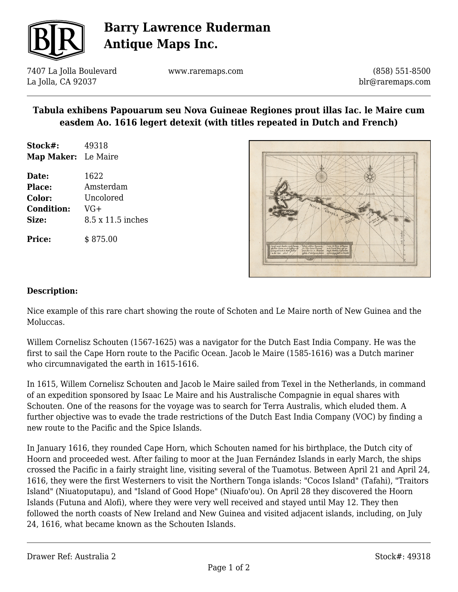

## **Barry Lawrence Ruderman Antique Maps Inc.**

7407 La Jolla Boulevard La Jolla, CA 92037

www.raremaps.com

(858) 551-8500 blr@raremaps.com

### **Tabula exhibens Papouarum seu Nova Guineae Regiones prout illas Iac. le Maire cum easdem Ao. 1616 legert detexit (with titles repeated in Dutch and French)**

**Stock#:** 49318 **Map Maker:** Le Maire

**Price:** \$ 875.00

**Date:** 1622 **Place:** Amsterdam **Color:** Uncolored **Condition:** VG+ **Size:** 8.5 x 11.5 inches

#### **Description:**

Nice example of this rare chart showing the route of Schoten and Le Maire north of New Guinea and the Moluccas.

Willem Cornelisz Schouten (1567-1625) was a navigator for the Dutch East India Company. He was the first to sail the Cape Horn route to the Pacific Ocean. Jacob le Maire (1585-1616) was a Dutch mariner who circumnavigated the earth in 1615-1616.

In 1615, Willem Cornelisz Schouten and Jacob le Maire sailed from Texel in the Netherlands, in command of an expedition sponsored by Isaac Le Maire and his Australische Compagnie in equal shares with Schouten. One of the reasons for the voyage was to search for Terra Australis, which eluded them. A further objective was to evade the trade restrictions of the Dutch East India Company (VOC) by finding a new route to the Pacific and the Spice Islands.

In January 1616, they rounded Cape Horn, which Schouten named for his birthplace, the Dutch city of Hoorn and proceeded west. After failing to moor at the Juan Fernández Islands in early March, the ships crossed the Pacific in a fairly straight line, visiting several of the Tuamotus. Between April 21 and April 24, 1616, they were the first Westerners to visit the Northern Tonga islands: "Cocos Island" (Tafahi), "Traitors Island" (Niuatoputapu), and "Island of Good Hope" (Niuafo'ou). On April 28 they discovered the Hoorn Islands (Futuna and Alofi), where they were very well received and stayed until May 12. They then followed the north coasts of New Ireland and New Guinea and visited adjacent islands, including, on July 24, 1616, what became known as the Schouten Islands.